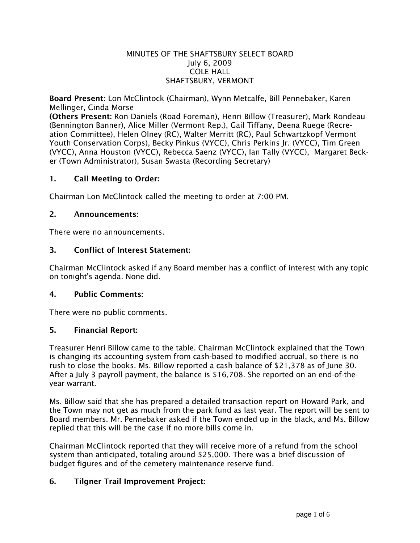### MINUTES OF THE SHAFTSBURY SELECT BOARD July 6, 2009 COLE HALL SHAFTSBURY, VERMONT

Board Present: Lon McClintock (Chairman), Wynn Metcalfe, Bill Pennebaker, Karen Mellinger, Cinda Morse

(Others Present: Ron Daniels (Road Foreman), Henri Billow (Treasurer), Mark Rondeau (Bennington Banner), Alice Miller (Vermont Rep.), Gail Tiffany, Deena Ruege (Recreation Committee), Helen Olney (RC), Walter Merritt (RC), Paul Schwartzkopf Vermont Youth Conservation Corps), Becky Pinkus (VYCC), Chris Perkins Jr. (VYCC), Tim Green (VYCC), Anna Houston (VYCC), Rebecca Saenz (VYCC), Ian Tally (VYCC), Margaret Becker (Town Administrator), Susan Swasta (Recording Secretary)

### 1. Call Meeting to Order:

Chairman Lon McClintock called the meeting to order at 7:00 PM.

### 2. Announcements:

There were no announcements.

### 3. Conflict of Interest Statement:

Chairman McClintock asked if any Board member has a conflict of interest with any topic on tonight's agenda. None did.

### 4. Public Comments:

There were no public comments.

### 5. Financial Report:

Treasurer Henri Billow came to the table. Chairman McClintock explained that the Town is changing its accounting system from cash-based to modified accrual, so there is no rush to close the books. Ms. Billow reported a cash balance of \$21,378 as of June 30. After a July 3 payroll payment, the balance is \$16,708. She reported on an end-of-theyear warrant.

Ms. Billow said that she has prepared a detailed transaction report on Howard Park, and the Town may not get as much from the park fund as last year. The report will be sent to Board members. Mr. Pennebaker asked if the Town ended up in the black, and Ms. Billow replied that this will be the case if no more bills come in.

Chairman McClintock reported that they will receive more of a refund from the school system than anticipated, totaling around \$25,000. There was a brief discussion of budget figures and of the cemetery maintenance reserve fund.

## 6. Tilgner Trail Improvement Project: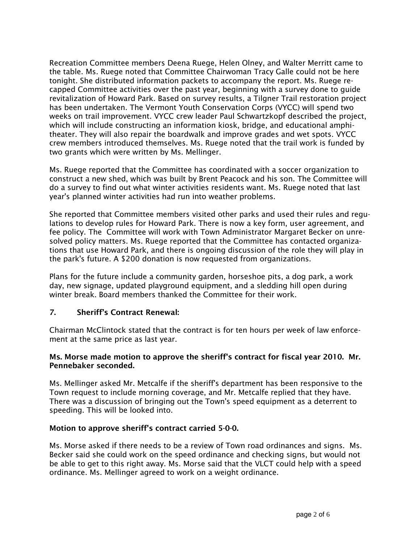Recreation Committee members Deena Ruege, Helen Olney, and Walter Merritt came to the table. Ms. Ruege noted that Committee Chairwoman Tracy Galle could not be here tonight. She distributed information packets to accompany the report. Ms. Ruege recapped Committee activities over the past year, beginning with a survey done to guide revitalization of Howard Park. Based on survey results, a Tilgner Trail restoration project has been undertaken. The Vermont Youth Conservation Corps (VYCC) will spend two weeks on trail improvement. VYCC crew leader Paul Schwartzkopf described the project, which will include constructing an information kiosk, bridge, and educational amphitheater. They will also repair the boardwalk and improve grades and wet spots. VYCC crew members introduced themselves. Ms. Ruege noted that the trail work is funded by two grants which were written by Ms. Mellinger.

Ms. Ruege reported that the Committee has coordinated with a soccer organization to construct a new shed, which was built by Brent Peacock and his son. The Committee will do a survey to find out what winter activities residents want. Ms. Ruege noted that last year's planned winter activities had run into weather problems.

She reported that Committee members visited other parks and used their rules and regulations to develop rules for Howard Park. There is now a key form, user agreement, and fee policy. The Committee will work with Town Administrator Margaret Becker on unresolved policy matters. Ms. Ruege reported that the Committee has contacted organizations that use Howard Park, and there is ongoing discussion of the role they will play in the park's future. A \$200 donation is now requested from organizations.

Plans for the future include a community garden, horseshoe pits, a dog park, a work day, new signage, updated playground equipment, and a sledding hill open during winter break. Board members thanked the Committee for their work.

## 7. Sheriff's Contract Renewal:

Chairman McClintock stated that the contract is for ten hours per week of law enforcement at the same price as last year.

### Ms. Morse made motion to approve the sheriff's contract for fiscal year 2010. Mr. Pennebaker seconded.

Ms. Mellinger asked Mr. Metcalfe if the sheriff's department has been responsive to the Town request to include morning coverage, and Mr. Metcalfe replied that they have. There was a discussion of bringing out the Town's speed equipment as a deterrent to speeding. This will be looked into.

### Motion to approve sheriff's contract carried 5-0-0.

Ms. Morse asked if there needs to be a review of Town road ordinances and signs. Ms. Becker said she could work on the speed ordinance and checking signs, but would not be able to get to this right away. Ms. Morse said that the VLCT could help with a speed ordinance. Ms. Mellinger agreed to work on a weight ordinance.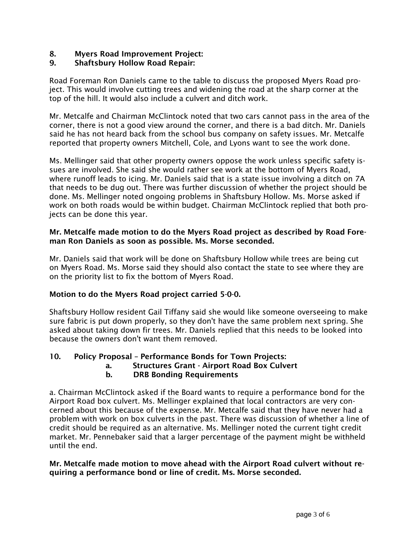## 8. Myers Road Improvement Project:

## 9. Shaftsbury Hollow Road Repair:

Road Foreman Ron Daniels came to the table to discuss the proposed Myers Road project. This would involve cutting trees and widening the road at the sharp corner at the top of the hill. It would also include a culvert and ditch work.

Mr. Metcalfe and Chairman McClintock noted that two cars cannot pass in the area of the corner, there is not a good view around the corner, and there is a bad ditch. Mr. Daniels said he has not heard back from the school bus company on safety issues. Mr. Metcalfe reported that property owners Mitchell, Cole, and Lyons want to see the work done.

Ms. Mellinger said that other property owners oppose the work unless specific safety issues are involved. She said she would rather see work at the bottom of Myers Road, where runoff leads to icing. Mr. Daniels said that is a state issue involving a ditch on 7A that needs to be dug out. There was further discussion of whether the project should be done. Ms. Mellinger noted ongoing problems in Shaftsbury Hollow. Ms. Morse asked if work on both roads would be within budget. Chairman McClintock replied that both projects can be done this year.

### Mr. Metcalfe made motion to do the Myers Road project as described by Road Foreman Ron Daniels as soon as possible. Ms. Morse seconded.

Mr. Daniels said that work will be done on Shaftsbury Hollow while trees are being cut on Myers Road. Ms. Morse said they should also contact the state to see where they are on the priority list to fix the bottom of Myers Road.

## Motion to do the Myers Road project carried 5-0-0.

Shaftsbury Hollow resident Gail Tiffany said she would like someone overseeing to make sure fabric is put down properly, so they don't have the same problem next spring. She asked about taking down fir trees. Mr. Daniels replied that this needs to be looked into because the owners don't want them removed.

## 10. Policy Proposal – Performance Bonds for Town Projects:

a. Structures Grant - Airport Road Box Culvert

## b. DRB Bonding Requirements

a. Chairman McClintock asked if the Board wants to require a performance bond for the Airport Road box culvert. Ms. Mellinger explained that local contractors are very concerned about this because of the expense. Mr. Metcalfe said that they have never had a problem with work on box culverts in the past. There was discussion of whether a line of credit should be required as an alternative. Ms. Mellinger noted the current tight credit market. Mr. Pennebaker said that a larger percentage of the payment might be withheld until the end.

### Mr. Metcalfe made motion to move ahead with the Airport Road culvert without requiring a performance bond or line of credit. Ms. Morse seconded.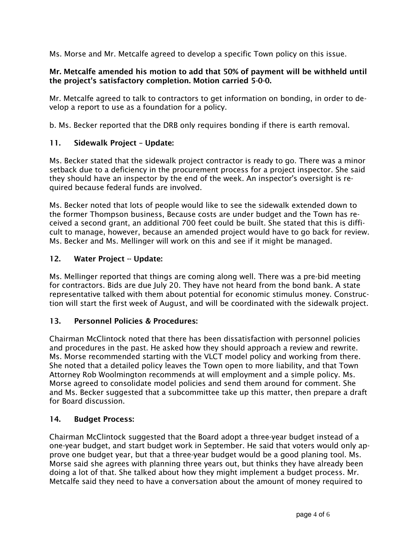Ms. Morse and Mr. Metcalfe agreed to develop a specific Town policy on this issue.

### Mr. Metcalfe amended his motion to add that 50% of payment will be withheld until the project's satisfactory completion. Motion carried 5-0-0.

Mr. Metcalfe agreed to talk to contractors to get information on bonding, in order to develop a report to use as a foundation for a policy.

b. Ms. Becker reported that the DRB only requires bonding if there is earth removal.

## 11. Sidewalk Project – Update:

Ms. Becker stated that the sidewalk project contractor is ready to go. There was a minor setback due to a deficiency in the procurement process for a project inspector. She said they should have an inspector by the end of the week. An inspector's oversight is required because federal funds are involved.

Ms. Becker noted that lots of people would like to see the sidewalk extended down to the former Thompson business, Because costs are under budget and the Town has received a second grant, an additional 700 feet could be built. She stated that this is difficult to manage, however, because an amended project would have to go back for review. Ms. Becker and Ms. Mellinger will work on this and see if it might be managed.

### 12. Water Project -- Update:

Ms. Mellinger reported that things are coming along well. There was a pre-bid meeting for contractors. Bids are due July 20. They have not heard from the bond bank. A state representative talked with them about potential for economic stimulus money. Construction will start the first week of August, and will be coordinated with the sidewalk project.

### 13. Personnel Policies & Procedures:

Chairman McClintock noted that there has been dissatisfaction with personnel policies and procedures in the past. He asked how they should approach a review and rewrite. Ms. Morse recommended starting with the VLCT model policy and working from there. She noted that a detailed policy leaves the Town open to more liability, and that Town Attorney Rob Woolmington recommends at will employment and a simple policy. Ms. Morse agreed to consolidate model policies and send them around for comment. She and Ms. Becker suggested that a subcommittee take up this matter, then prepare a draft for Board discussion.

### 14. Budget Process:

Chairman McClintock suggested that the Board adopt a three-year budget instead of a one-year budget, and start budget work in September. He said that voters would only approve one budget year, but that a three-year budget would be a good planing tool. Ms. Morse said she agrees with planning three years out, but thinks they have already been doing a lot of that. She talked about how they might implement a budget process. Mr. Metcalfe said they need to have a conversation about the amount of money required to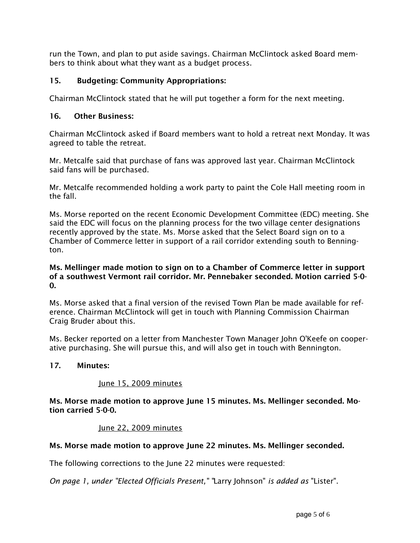run the Town, and plan to put aside savings. Chairman McClintock asked Board members to think about what they want as a budget process.

# 15. Budgeting: Community Appropriations:

Chairman McClintock stated that he will put together a form for the next meeting.

## 16. Other Business:

Chairman McClintock asked if Board members want to hold a retreat next Monday. It was agreed to table the retreat.

Mr. Metcalfe said that purchase of fans was approved last year. Chairman McClintock said fans will be purchased.

Mr. Metcalfe recommended holding a work party to paint the Cole Hall meeting room in the fall.

Ms. Morse reported on the recent Economic Development Committee (EDC) meeting. She said the EDC will focus on the planning process for the two village center designations recently approved by the state. Ms. Morse asked that the Select Board sign on to a Chamber of Commerce letter in support of a rail corridor extending south to Bennington.

### Ms. Mellinger made motion to sign on to a Chamber of Commerce letter in support of a southwest Vermont rail corridor. Mr. Pennebaker seconded. Motion carried 5-0-  $\Omega$ .

Ms. Morse asked that a final version of the revised Town Plan be made available for reference. Chairman McClintock will get in touch with Planning Commission Chairman Craig Bruder about this.

Ms. Becker reported on a letter from Manchester Town Manager John O'Keefe on cooperative purchasing. She will pursue this, and will also get in touch with Bennington.

## 17. Minutes:

## June 15, 2009 minutes

Ms. Morse made motion to approve June 15 minutes. Ms. Mellinger seconded. Motion carried 5-0-0.

## June 22, 2009 minutes

## Ms. Morse made motion to approve June 22 minutes. Ms. Mellinger seconded.

The following corrections to the June 22 minutes were requested:

*On page 1, under "Elected Officials Present," "*Larry Johnson" *is added as* "Lister".